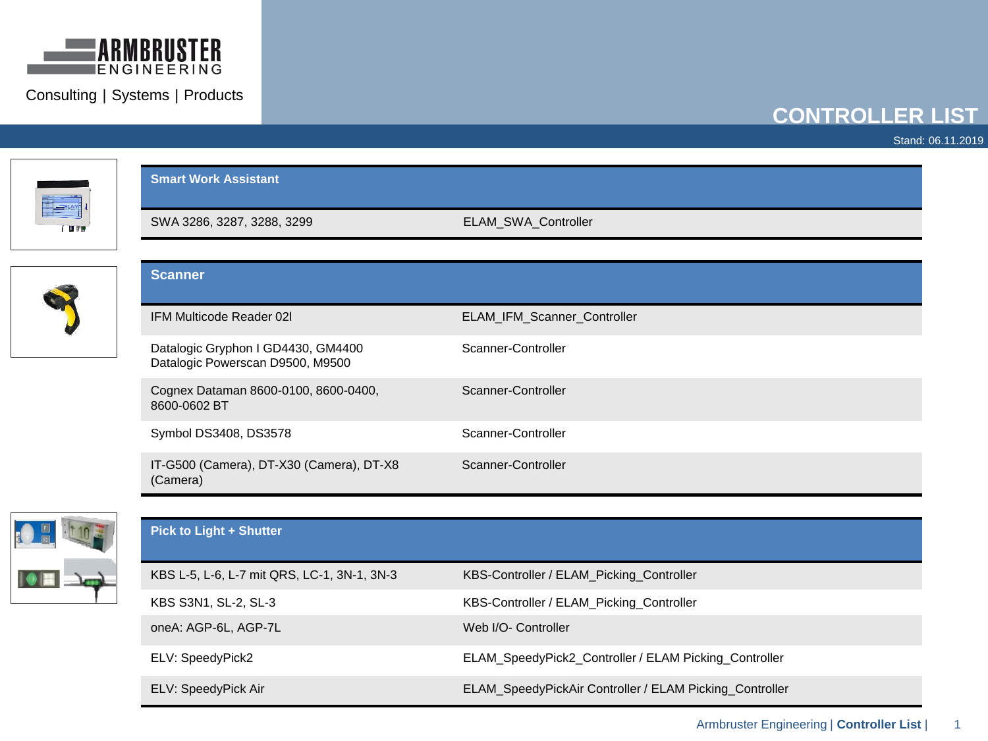

## **CONTROLLER LIST**

Stand: 06.11.2019

| <b>Smart Work Assistant</b>                                            |                                                       |  |
|------------------------------------------------------------------------|-------------------------------------------------------|--|
| SWA 3286, 3287, 3288, 3299                                             | ELAM_SWA_Controller                                   |  |
| <b>Scanner</b>                                                         |                                                       |  |
|                                                                        |                                                       |  |
| IFM Multicode Reader 02I                                               | ELAM_IFM_Scanner_Controller                           |  |
| Datalogic Gryphon I GD4430, GM4400<br>Datalogic Powerscan D9500, M9500 | Scanner-Controller                                    |  |
| Cognex Dataman 8600-0100, 8600-0400,<br>8600-0602 BT                   | Scanner-Controller                                    |  |
| Symbol DS3408, DS3578                                                  | Scanner-Controller                                    |  |
| IT-G500 (Camera), DT-X30 (Camera), DT-X8<br>(Camera)                   | Scanner-Controller                                    |  |
| <b>Pick to Light + Shutter</b>                                         |                                                       |  |
| KBS L-5, L-6, L-7 mit QRS, LC-1, 3N-1, 3N-3                            | KBS-Controller / ELAM_Picking_Controller              |  |
| KBS S3N1, SL-2, SL-3                                                   | KBS-Controller / ELAM_Picking_Controller              |  |
| oneA: AGP-6L, AGP-7L                                                   | Web I/O- Controller                                   |  |
| ELV: SpeedyPick2                                                       | ELAM_SpeedyPick2_Controller / ELAM Picking_Controller |  |

ELV: SpeedyPick Air **ELAM\_SpeedyPickAir Controller / ELAM** Picking\_Controller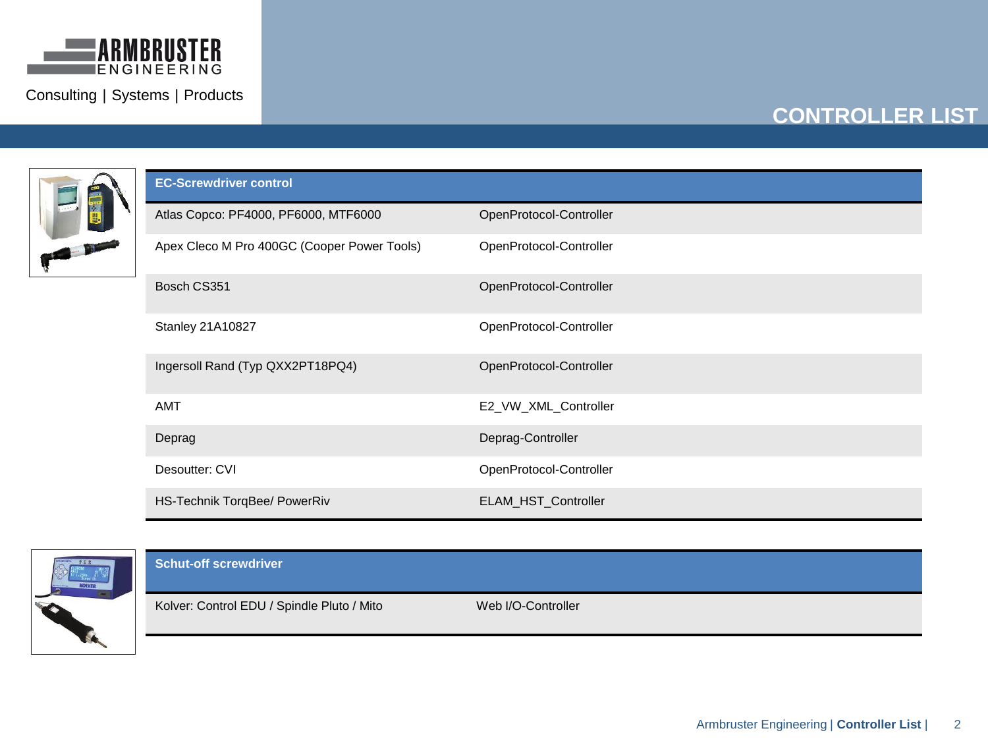



| <b>EC-Screwdriver control</b>               |                         |
|---------------------------------------------|-------------------------|
| Atlas Copco: PF4000, PF6000, MTF6000        | OpenProtocol-Controller |
| Apex Cleco M Pro 400GC (Cooper Power Tools) | OpenProtocol-Controller |
| Bosch CS351                                 | OpenProtocol-Controller |
| Stanley 21A10827                            | OpenProtocol-Controller |
| Ingersoll Rand (Typ QXX2PT18PQ4)            | OpenProtocol-Controller |
| <b>AMT</b>                                  | E2_VW_XML_Controller    |
| Deprag                                      | Deprag-Controller       |
| Desoutter: CVI                              | OpenProtocol-Controller |
| HS-Technik TorqBee/ PowerRiv                | ELAM_HST_Controller     |



| <b>Schut-off screwdriver</b>               |                    |  |
|--------------------------------------------|--------------------|--|
| Kolver: Control EDU / Spindle Pluto / Mito | Web I/O-Controller |  |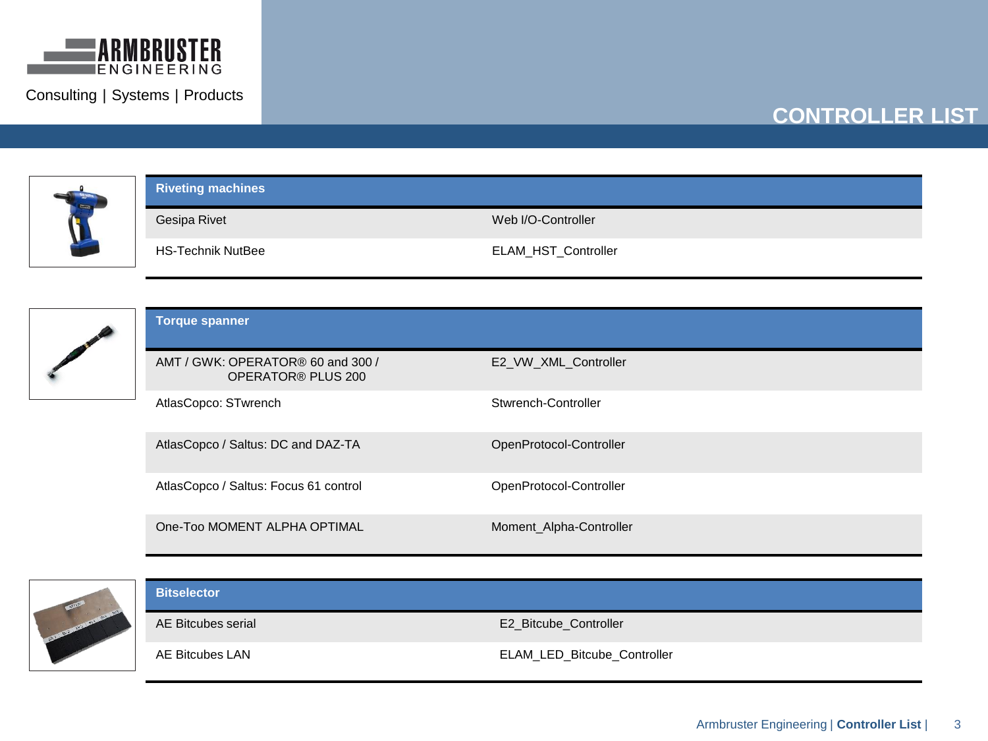

# **CONTROLLER LIST**



### **Riveting machines**

Gesipa Rivet Web I/O-Controller

HS-Technik NutBee ELAM\_HST\_Controller



| <b>Torque spanner</b>                                   |                         |
|---------------------------------------------------------|-------------------------|
| AMT / GWK: OPERATOR® 60 and 300 /<br>OPERATOR® PLUS 200 | E2 VW XML Controller    |
| AtlasCopco: STwrench                                    | Stwrench-Controller     |
| AtlasCopco / Saltus: DC and DAZ-TA                      | OpenProtocol-Controller |
| AtlasCopco / Saltus: Focus 61 control                   | OpenProtocol-Controller |
| One-Too MOMENT ALPHA OPTIMAL                            | Moment Alpha-Controller |



### **Bitselector**

AE Bitcubes serial **AE Bitcubes** serial AE Bitcube\_Controller

AE Bitcubes LAN **ELAM\_LED\_Bitcube\_Controller**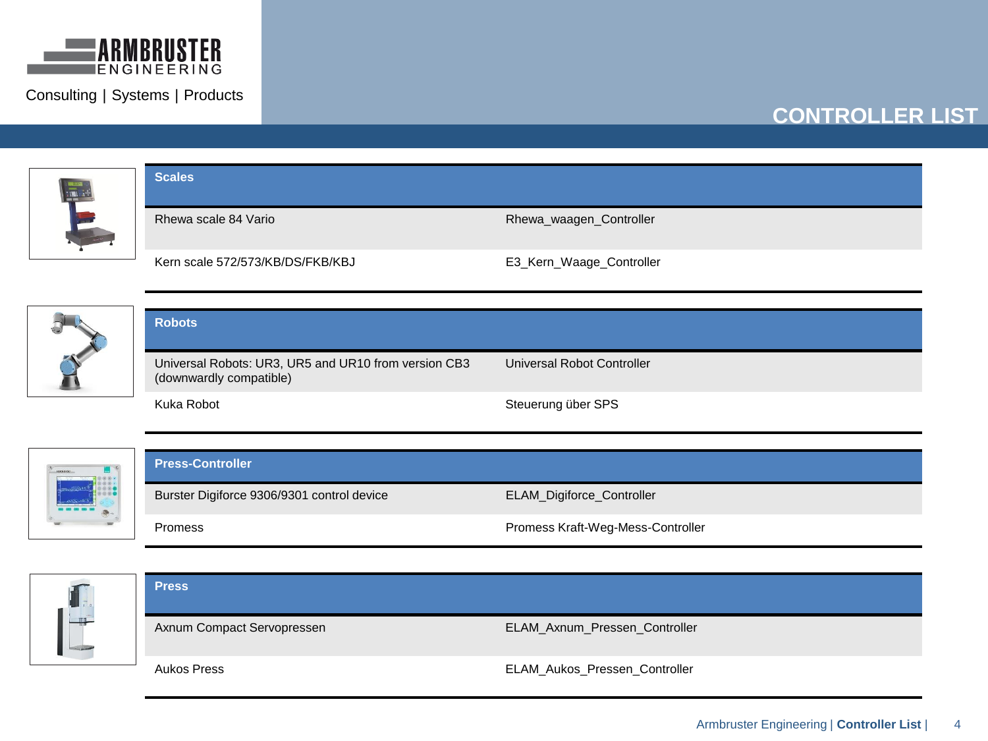

# **CONTROLLER LIST**







#### **Press-Controller**





| <b>Press</b>               |                               |
|----------------------------|-------------------------------|
| Axnum Compact Servopressen | ELAM_Axnum_Pressen_Controller |
| Aukos Press                | ELAM_Aukos_Pressen_Controller |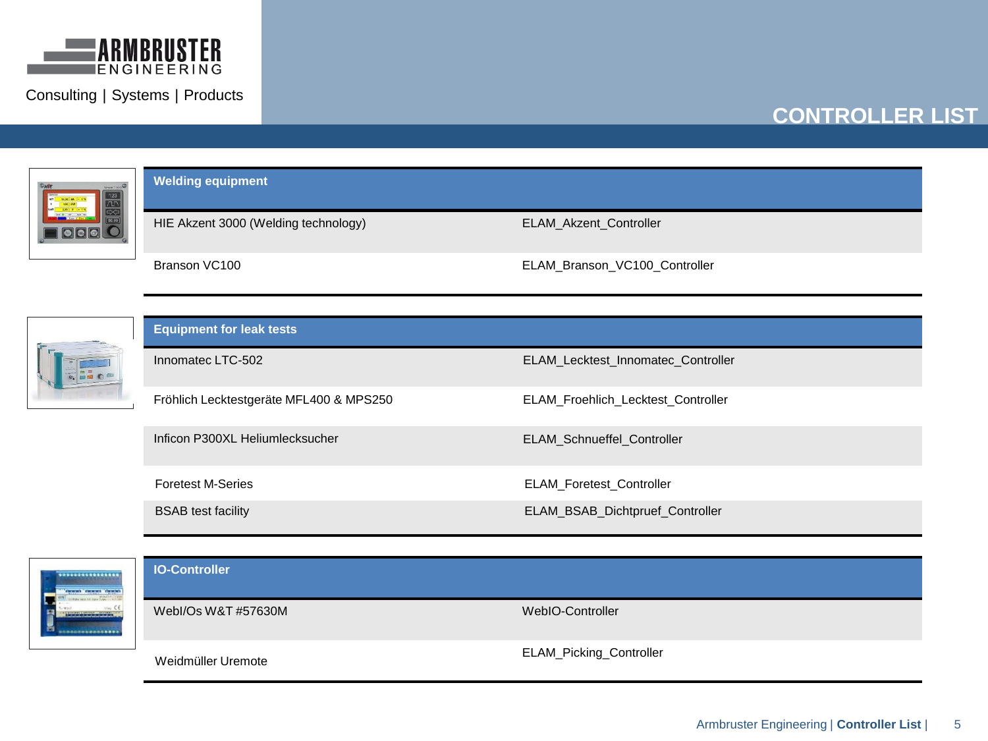

## **CONTROLLER LIST**



**Welding equipment**

HIE Akzent 3000 (Welding technology) ELAM\_Akzent\_Controller

Branson VC100 ELAM\_Branson\_VC100\_Controller

| <b>IX OCEAN</b> |  |
|-----------------|--|
|                 |  |
|                 |  |

| <b>Equipment for leak tests</b>         |                                           |  |
|-----------------------------------------|-------------------------------------------|--|
| Innomatec LTC-502                       | <b>ELAM Lecktest Innomatec Controller</b> |  |
| Fröhlich Lecktestgeräte MFL400 & MPS250 | <b>ELAM Froehlich Lecktest Controller</b> |  |
| Inficon P300XL Heliumlecksucher         | ELAM_Schnueffel_Controller                |  |
| <b>Foretest M-Series</b>                | <b>ELAM Foretest Controller</b>           |  |
| <b>BSAB</b> test facility               | ELAM_BSAB_Dichtpruef_Controller           |  |

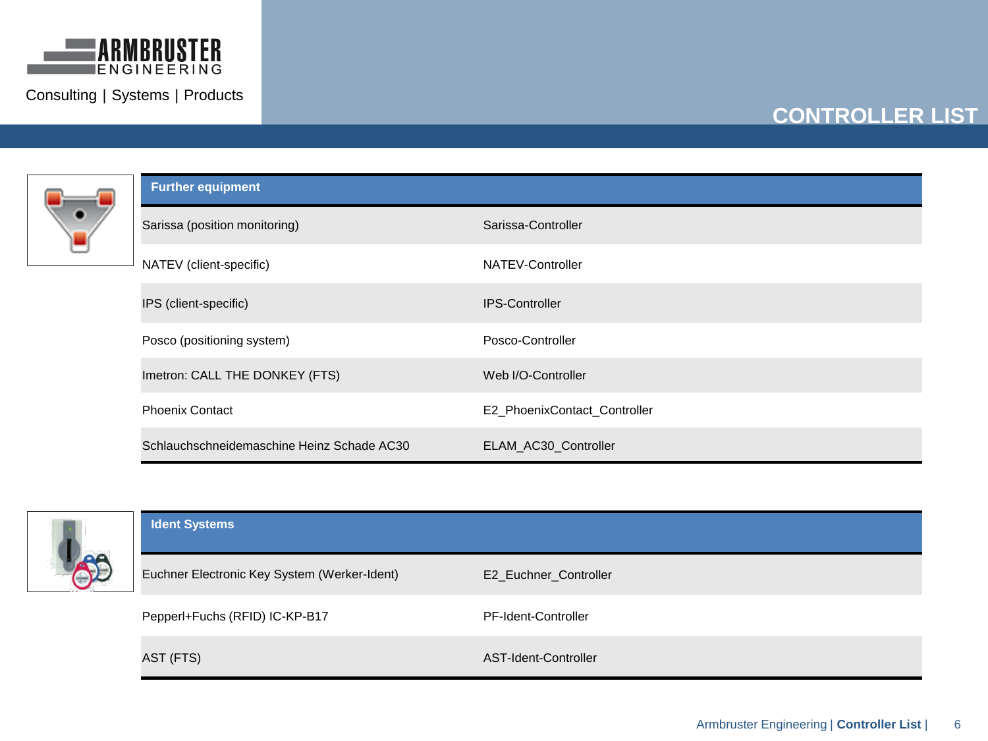



| <b>Further equipment</b>                   |                              |  |
|--------------------------------------------|------------------------------|--|
| Sarissa (position monitoring)              | Sarissa-Controller           |  |
| NATEV (client-specific)                    | NATEV-Controller             |  |
| IPS (client-specific)                      | <b>IPS-Controller</b>        |  |
| Posco (positioning system)                 | Posco-Controller             |  |
| Imetron: CALL THE DONKEY (FTS)             | Web I/O-Controller           |  |
| <b>Phoenix Contact</b>                     | E2 PhoenixContact Controller |  |
| Schlauchschneidemaschine Heinz Schade AC30 | ELAM_AC30_Controller         |  |



| <b>Ident Systems</b>                         |                       |  |
|----------------------------------------------|-----------------------|--|
| Euchner Electronic Key System (Werker-Ident) | E2_Euchner_Controller |  |
| Pepperl+Fuchs (RFID) IC-KP-B17               | PF-Ident-Controller   |  |
| AST (FTS)                                    | AST-Ident-Controller  |  |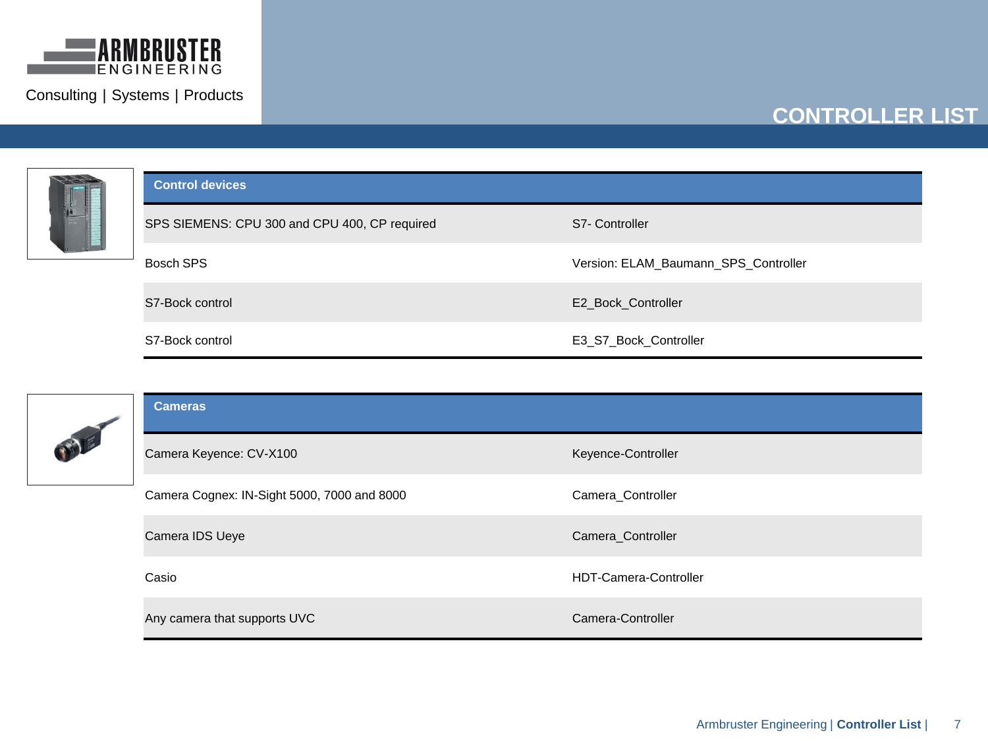



| <b>Control devices</b>                        |                                      |
|-----------------------------------------------|--------------------------------------|
| SPS SIEMENS: CPU 300 and CPU 400, CP required | S7- Controller                       |
| Bosch SPS                                     | Version: ELAM Baumann SPS Controller |
| S7-Bock control                               | E2 Bock Controller                   |
| S7-Bock control                               | E3 S7 Bock Controller                |



| <b>Cameras</b>                              |                              |  |
|---------------------------------------------|------------------------------|--|
| Camera Keyence: CV-X100                     | Keyence-Controller           |  |
| Camera Cognex: IN-Sight 5000, 7000 and 8000 | Camera_Controller            |  |
| Camera IDS Ueye                             | Camera_Controller            |  |
| Casio                                       | <b>HDT-Camera-Controller</b> |  |
| Any camera that supports UVC                | Camera-Controller            |  |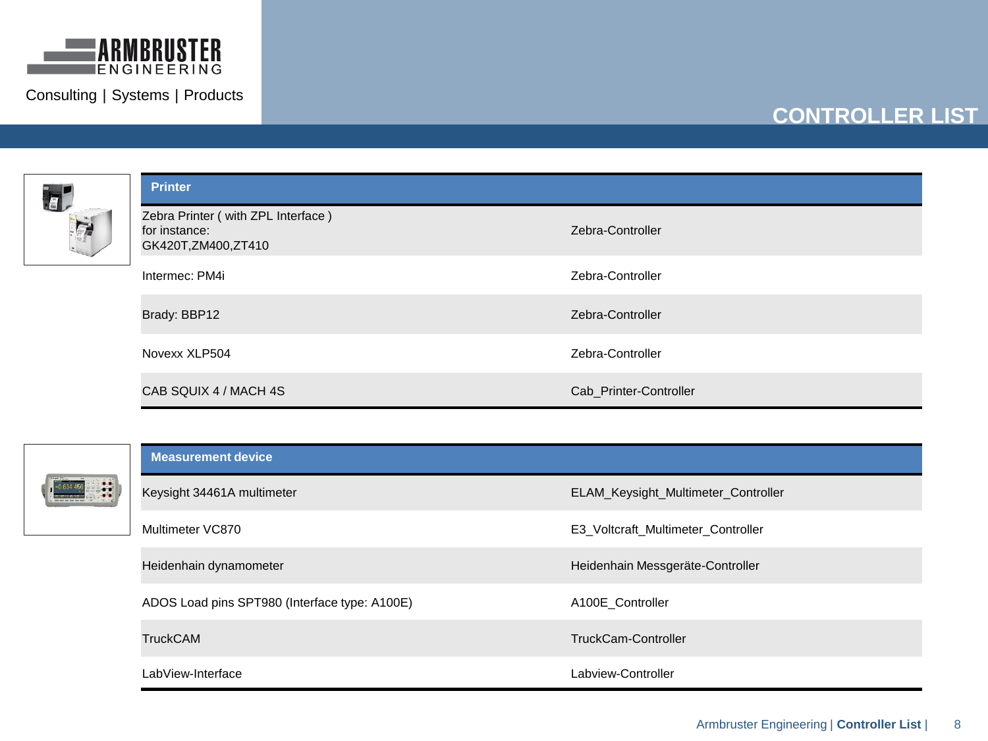

| $\overline{z}$ | <b>Printer</b>                                                            |                        |
|----------------|---------------------------------------------------------------------------|------------------------|
|                | Zebra Printer (with ZPL Interface)<br>for instance:<br>GK420T,ZM400,ZT410 | Zebra-Controller       |
|                | Intermec: PM4i                                                            | Zebra-Controller       |
|                | Brady: BBP12                                                              | Zebra-Controller       |
|                | Novexx XLP504                                                             | Zebra-Controller       |
|                | CAB SQUIX 4 / MACH 4S                                                     | Cab_Printer-Controller |

| Wear May<br><b>Tale</b><br>r | ÷<br>×. |   |  |
|------------------------------|---------|---|--|
|                              |         | ٠ |  |

|  | <b>Measurement device</b>                     |                                     |  |  |
|--|-----------------------------------------------|-------------------------------------|--|--|
|  | Keysight 34461A multimeter                    | ELAM_Keysight_Multimeter_Controller |  |  |
|  | Multimeter VC870                              | E3_Voltcraft_Multimeter_Controller  |  |  |
|  | Heidenhain dynamometer                        | Heidenhain Messgeräte-Controller    |  |  |
|  | ADOS Load pins SPT980 (Interface type: A100E) | A100E Controller                    |  |  |
|  | <b>TruckCAM</b>                               | TruckCam-Controller                 |  |  |
|  | LabView-Interface                             | Labview-Controller                  |  |  |